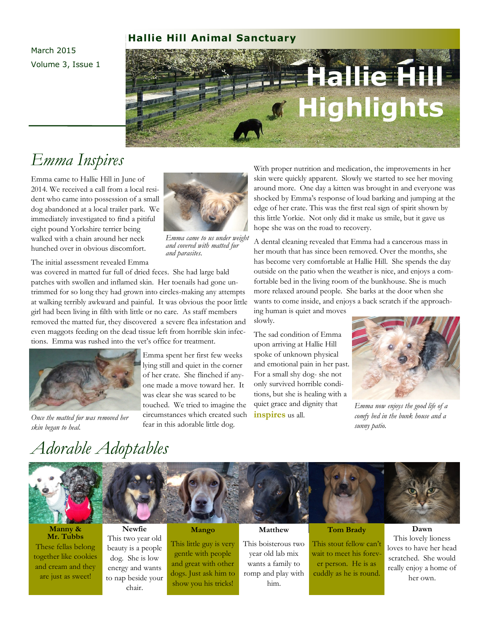#### **Hallie Hill Animal Sanctuary**

March 2015 Volume 3, Issue 1

# **Hallie Hill Highlights**

## *Emma Inspires*

Emma came to Hallie Hill in June of 2014. We received a call from a local resident who came into possession of a small dog abandoned at a local trailer park. We immediately investigated to find a pitiful eight pound Yorkshire terrier being walked with a chain around her neck hunched over in obvious discomfort.



patches with swollen and inflamed skin. Her toenails had gone untrimmed for so long they had grown into circles-making any attempts at walking terribly awkward and painful. It was obvious the poor little girl had been living in filth with little or no care. As staff members removed the matted fur, they discovered a severe flea infestation and even maggots feeding on the dead tissue left from horrible skin infections. Emma was rushed into the vet's office for treatment.



*skin began to heal.*



*Emma came to us under weight and covered with matted fur and parasites.*

Emma spent her first few weeks lying still and quiet in the corner of her crate. She flinched if anyone made a move toward her. It was clear she was scared to be touched. We tried to imagine the Once the matted fur was removed her **circumstances** which created such **inspires** us all. fear in this adorable little dog.

With proper nutrition and medication, the improvements in her skin were quickly apparent. Slowly we started to see her moving around more. One day a kitten was brought in and everyone was shocked by Emma's response of loud barking and jumping at the edge of her crate. This was the first real sign of spirit shown by this little Yorkie. Not only did it make us smile, but it gave us hope she was on the road to recovery.

A dental cleaning revealed that Emma had a cancerous mass in her mouth that has since been removed. Over the months, she has become very comfortable at Hallie Hill. She spends the day outside on the patio when the weather is nice, and enjoys a comfortable bed in the living room of the bunkhouse. She is much more relaxed around people. She barks at the door when she wants to come inside, and enjoys a back scratch if the approach-

ing human is quiet and moves slowly.

The sad condition of Emma upon arriving at Hallie Hill spoke of unknown physical and emotional pain in her past. For a small shy dog- she not only survived horrible conditions, but she is healing with a quiet grace and dignity that



*Emma now enjoys the good life of a comfy bed in the bunk house and a sunny patio.*

## *Adorable Adoptables*



**Manny & Mr. Tubbs** These fellas belong together like cookies and cream and they are just as sweet!

**Newfie** This two year old beauty is a people dog. She is low energy and wants to nap beside your

chair.

#### **Mango**

This little guy is very gentle with people and great with other dogs. Just ask him to show you his tricks!

#### **Matthew**

This boisterous two year old lab mix wants a family to romp and play with him.

#### **Tom Brady**

This stout fellow can't wait to meet his forever person. He is as cuddly as he is round.

**Dawn** This lovely lioness loves to have her head scratched. She would really enjoy a home of her own.